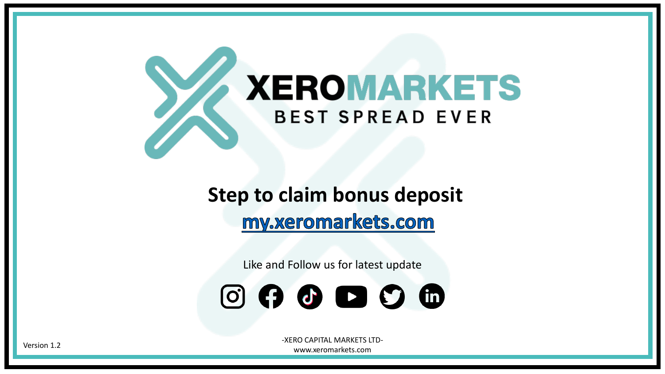# **XEROMARKETS BEST SPREAD EVER**

### **Step to claim bonus deposit** my.xeromarkets.com

Like and Follow us for latest update



-XERO CAPITAL MARKETS LTDwww.xeromarkets.com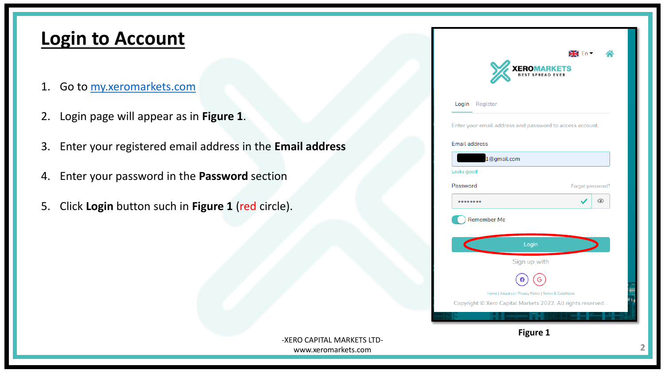#### **Login to Account**

- 1. Go to [my.xeromarkets.com](https://my.xeromarkets.com/login)
- 2. Login page will appear as in **Figure 1**.
- 3. Enter your registered email address in the **Email address**
- 4. Enter your password in the **Password** section
- 5. Click **Login** button such in **Figure 1** (red circle).

| <b>XEROMARKETS</b>                                       |                  |  |  |  |  |
|----------------------------------------------------------|------------------|--|--|--|--|
| Login Register                                           |                  |  |  |  |  |
| Enter your email address and password to access account. |                  |  |  |  |  |
| <b>Email address</b>                                     |                  |  |  |  |  |
| 1@gmail.com                                              |                  |  |  |  |  |
| Looks good!                                              |                  |  |  |  |  |
| Password                                                 | Forgot password? |  |  |  |  |
|                                                          | ◉                |  |  |  |  |
|                                                          |                  |  |  |  |  |
| <b>Remember Me</b>                                       |                  |  |  |  |  |
|                                                          |                  |  |  |  |  |
|                                                          | Login            |  |  |  |  |
|                                                          | Sign up with     |  |  |  |  |
|                                                          |                  |  |  |  |  |

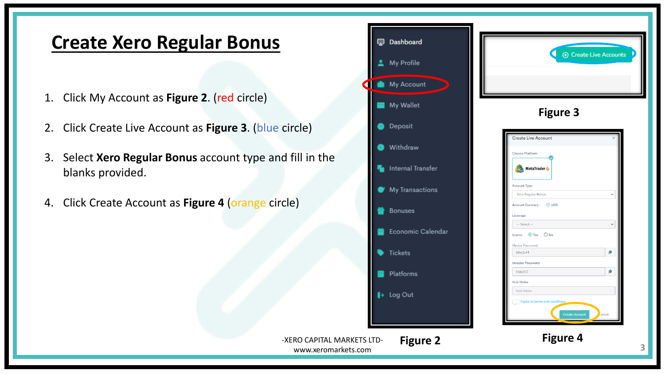#### **Create Xero Regular Bonus**

- 1. Click My Account as **Figure 2**. (red circle)
- 2. Click Create Live Account as **Figure 3**. (blue circle)
- 3. Select **Xero Regular Bonus** account type and fill in the blanks provided.
- 4. Click Create Account as **Figure 4** (orange circle)

|                                                   |   | Dashboard         |                                          |
|---------------------------------------------------|---|-------------------|------------------------------------------|
|                                                   |   | My Profile        |                                          |
| d                                                 | n | My Account        |                                          |
|                                                   |   | My Wallet         |                                          |
| circle)                                           |   | Deposit           |                                          |
|                                                   |   | Withdraw          | <b>Create Live Ac</b><br>Choose Platform |
| d fill in the                                     |   | Internal Transfer | MetaTra                                  |
|                                                   |   | My Transactions   | Account Type<br>Xero Regular Bo          |
| cle)                                              |   | Bonuses           | Account Currency:<br>Leverage            |
|                                                   |   | Economic Calendar | -- Select --<br>Islamic O Yes            |
|                                                   |   | Tickets           | Master Password<br>eltw1vr4              |
|                                                   |   | Platforms         | Investor Password<br>togqzlt2            |
|                                                   |   | + Log Out         | Nick Name<br>Nick Name                   |
|                                                   |   |                   | Agree to term                            |
| -XERO CAPITAL MARKETS LTD-<br>www.xeromarkets.com |   | <b>Figure 2</b>   |                                          |



**Figure 4**

**3**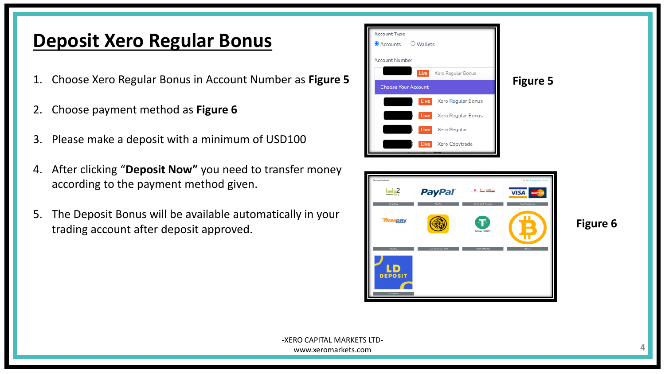#### **Deposit Xero Regular Bonus**

- 1. Choose Xero Regular Bonus in Account Number as **Figure 5**
- 2. Choose payment method as **Figure 6**
- 3. Please make a deposit with a minimum of USD100
- 4. After clicking "**Deposit Now"** you need to transfer money according to the payment method given.
- 5. The Deposit Bonus will be available automatically in your trading account after deposit approved.



**Figure 6**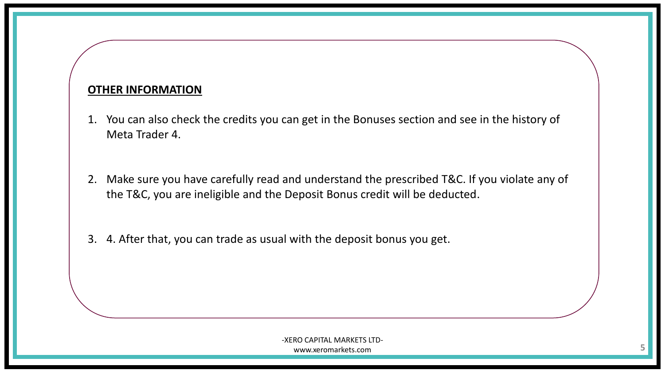#### **OTHER INFORMATION**

- 1. You can also check the credits you can get in the Bonuses section and see in the history of Meta Trader 4.
- 2. Make sure you have carefully read and understand the prescribed T&C. If you violate any of the T&C, you are ineligible and the Deposit Bonus credit will be deducted.
- 3. 4. After that, you can trade as usual with the deposit bonus you get.